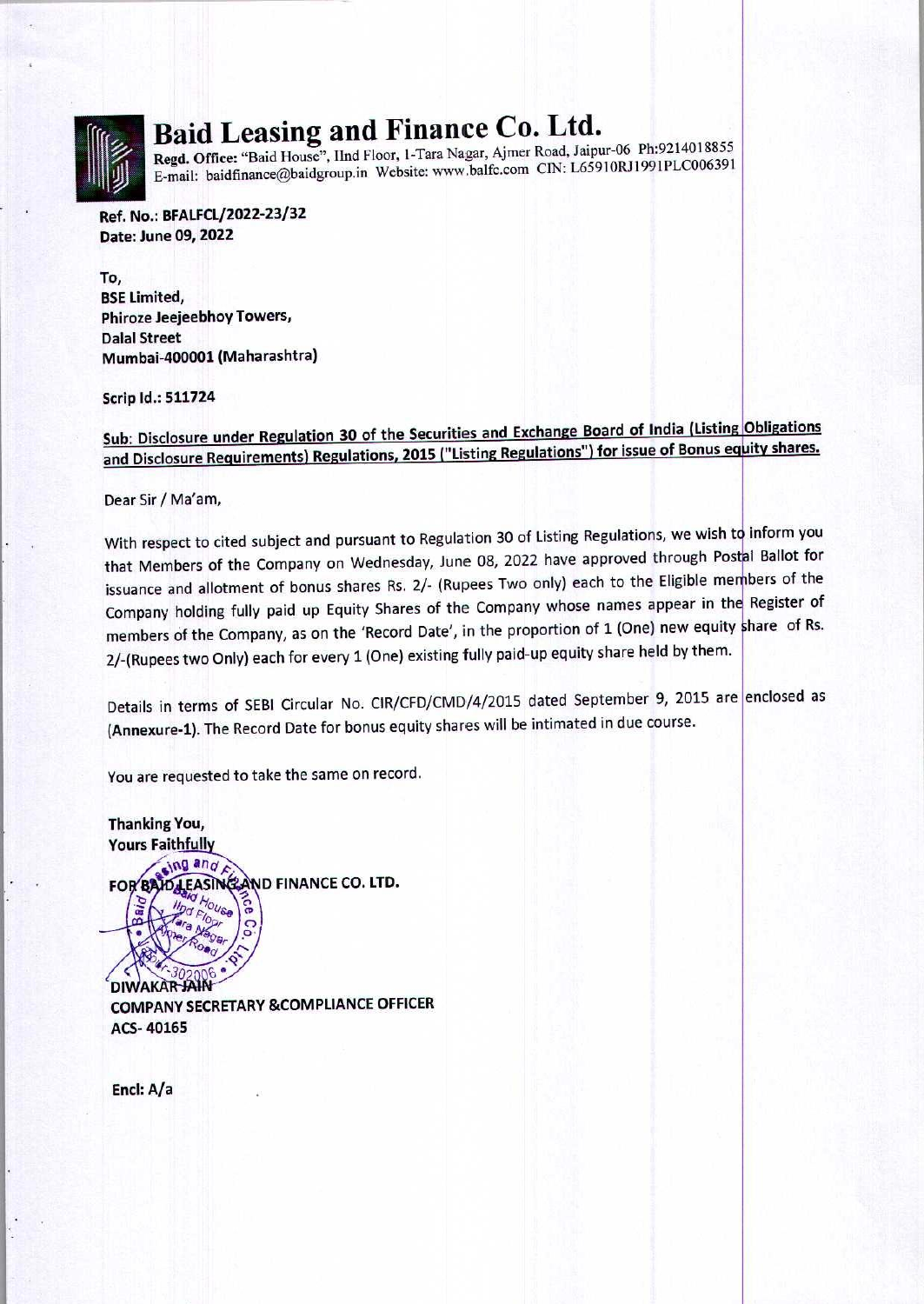

### ' : s <sup>|</sup> Baid Leasing and Finance Co. Ltd.

Regd. Office: "Baid House", IInd Floor, 1-Tara Nagar, Ajmer Road, Jaipur-06 Ph:9214018855 E-mail: baidfinance@baidgroup.in Website: www.balfc.com CIN: L65910RJ1991PLC006391

Ref. No.: BFALFCL/2022-23/32 Date: June 09, 2022

To, BSE Limited, Phiroze Jeejeebhoy Towers, Dalal Street Mumbai-400001 (Maharashtra)

Scrip Id.: 511724

Sub: Disclosure under Regulation 30 of the Securities and Exchange Board of India (Listing Obligations sup. Disclosure ander Regulation. 2010. Inc. 2015 ("Listing Regulations") for issue of Bonus equity shares.

Dear Sir / Ma'am,<br>
With respect to cited subject and pursuant to that Members of the Company on Wednesda<br>
issuance and allotment of bonus shares Rs. 2,<br>
Company holding fully paid up Equity Shares<br>
members of the Company, With respect to cited subject and pursuant to Regulation 30 of Listing Regulations, we wish to inform you that Members of the Company on Wednesday, June 08, 2022 have approved through Postal Ballot for issuance and allotment of bonus shares Rs. 2/- (Rupees Two only) each to the Eligible members of the Company holding fully paid up Equity Shares of the Company whose names appear in the Register of members of the Company, as on the 'Record Date', in the proportion of 1 (One) new equity share of Rs. 2/-(Rupees two Only) each for every 1 (One) existing fully paid-up equity share held by them.

Details in terms of SEBI Circular No. CIR/CFD/CMD/4/2015 dated September 9, 2015 are |enclosed as (Annexure-1). The Record Date for bonus equity shares will be intimated in due course.

You are requested to take the same on record.

**Thanking You,<br>Yours Faithfully** 

FOR BAID LEASING AND FINANCE CO. LTD.

COMPANY SECRETARY & COMPLIANCE OFFICER ACS- 40165

Encl: A/a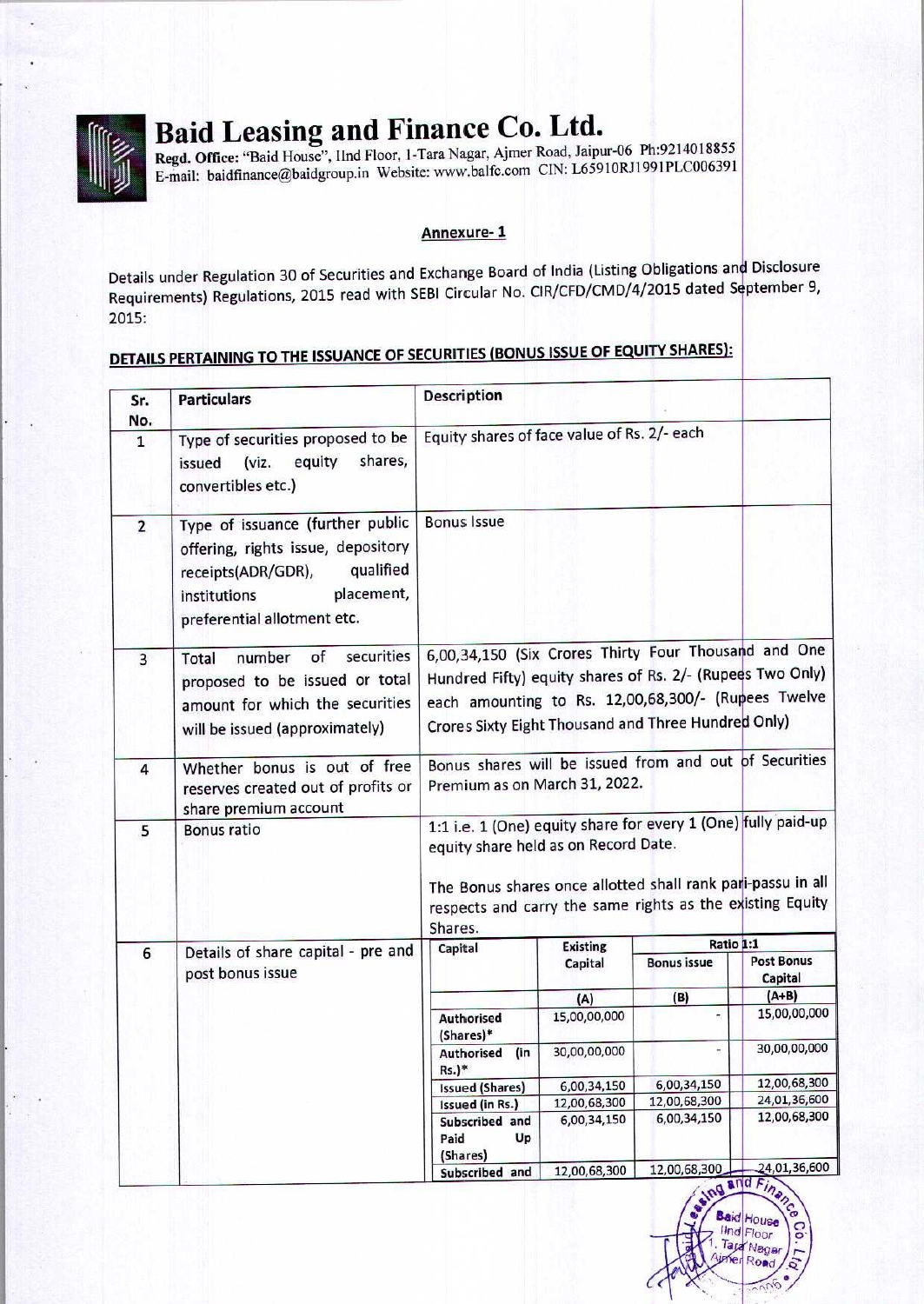

**ATANG ANG PANGANG PANGANG PANG-PANGKAN** 

# Baid Leasing and Finance Co. Ltd.

#### Annexure- 1

Details under Regulation 30 of Securities and Exchange Board of India (Listing Obligations and Disclosure Requirements) Regulations, 2015 read with SEBI Circular No. CIR/CFD/CMD/4/2015 dated September 9, 2015: **Baid Leasing and Finance Regulation**<br>
Regd. Office: "Baid House", IInd Floor, 1-Tara Nag<br>
E-mail: baidfinance@baidgroup.in Website: www.<br>
Annexe<br>
Details under Regulation 30 of Securities and Exchang<br>
Requirements) Regula **Baid Leasing and Finance**<br>
Regd. Office: "Baid House", IInd Floor, 1-Tara Nag<br>
E-mail: baidfinance@baidgroup.in Website: www.<br>
Annexu<br>
Details under Regulation 30 of Securities and Exchange<br>
Requirements) Regulations, 201

### DETAILS PERTAINING TO THE ISSUANCE OF SECURITIES (BONUS ISSUE OF EQUITY SHARES):

|                     | Baid Leasing and Finance Co. Ltd.<br>Regd. Office: "Baid House", Ilnd Floor, 1-Tara Nagar, Ajmer Road, Jaipur-06 Ph:9214018855<br>E-mail: baidfinance@baidgroup.in Website: www.balfc.com CIN: L65910RJ1991PLC006391 |                                                                                                                                                                         |                             |                             |                                |
|---------------------|----------------------------------------------------------------------------------------------------------------------------------------------------------------------------------------------------------------------|-------------------------------------------------------------------------------------------------------------------------------------------------------------------------|-----------------------------|-----------------------------|--------------------------------|
|                     |                                                                                                                                                                                                                      | Annexure-1                                                                                                                                                              |                             |                             |                                |
|                     | Details under Regulation 30 of Securities and Exchange Board of India (Listing Obligations and Disclosure                                                                                                            |                                                                                                                                                                         |                             |                             |                                |
| 2015:               | Requirements) Regulations, 2015 read with SEBI Circular No. CIR/CFD/CMD/4/2015 dated September 9,                                                                                                                    |                                                                                                                                                                         |                             |                             |                                |
|                     | <u>DETAILS PERTAINING TO THE ISSUANCE OF SECURITIES (BONUS ISSUE OF EQUITY SHARES):</u>                                                                                                                              |                                                                                                                                                                         |                             |                             |                                |
| Sr.                 | <b>Particulars</b>                                                                                                                                                                                                   | <b>Description</b>                                                                                                                                                      |                             |                             |                                |
| No.<br>$\mathbf{1}$ | Type of securities proposed to be                                                                                                                                                                                    | Equity shares of face value of Rs. 2/- each                                                                                                                             |                             |                             |                                |
|                     | shares,<br>equity<br>(viz.<br>issued<br>convertibles etc.)                                                                                                                                                           |                                                                                                                                                                         |                             |                             |                                |
| $\overline{2}$      | Type of issuance (further public                                                                                                                                                                                     | <b>Bonus Issue</b>                                                                                                                                                      |                             |                             |                                |
|                     | offering, rights issue, depository<br>qualified<br>receipts(ADR/GDR),                                                                                                                                                |                                                                                                                                                                         |                             |                             |                                |
|                     | placement,<br>institutions<br>preferential allotment etc.                                                                                                                                                            |                                                                                                                                                                         |                             |                             |                                |
| $\overline{3}$      | securities<br>of<br>number<br>Total                                                                                                                                                                                  | 6,00,34,150 (Six Crores Thirty Four Thousand and One                                                                                                                    |                             |                             |                                |
|                     | proposed to be issued or total<br>amount for which the securities                                                                                                                                                    | Hundred Fifty) equity shares of Rs. 2/- (Rupees Two Only)<br>each amounting to Rs. 12,00,68,300/- (Rupees Twelve<br>Crores Sixty Eight Thousand and Three Hundred Only) |                             |                             |                                |
|                     | will be issued (approximately)                                                                                                                                                                                       |                                                                                                                                                                         |                             |                             |                                |
| $\overline{4}$      | Whether bonus is out of free<br>reserves created out of profits or                                                                                                                                                   | Bonus shares will be issued from and out of Securities<br>Premium as on March 31, 2022.                                                                                 |                             |                             |                                |
| 5                   | share premium account<br><b>Bonus ratio</b>                                                                                                                                                                          | 1:1 i.e. 1 (One) equity share for every 1 (One) fully paid-up                                                                                                           |                             |                             |                                |
|                     |                                                                                                                                                                                                                      | equity share held as on Record Date.                                                                                                                                    |                             |                             |                                |
|                     |                                                                                                                                                                                                                      | The Bonus shares once allotted shall rank pari-passu in all<br>respects and carry the same rights as the existing Equity                                                |                             |                             |                                |
|                     |                                                                                                                                                                                                                      | Shares.                                                                                                                                                                 |                             |                             |                                |
| 6                   | Details of share capital - pre and                                                                                                                                                                                   | Capital                                                                                                                                                                 | <b>Existing</b><br>Capital  | <b>Bonus issue</b>          | Ratio 1:1<br><b>Post Bonus</b> |
|                     | post bonus issue                                                                                                                                                                                                     |                                                                                                                                                                         | (A)                         | (B)                         | Capital<br>$(A+B)$             |
|                     |                                                                                                                                                                                                                      | Authorised                                                                                                                                                              | 15,00,00,000                | $\overline{a}$              | 15,00,00,000                   |
|                     |                                                                                                                                                                                                                      | (Shares)*<br>Authorised<br>(in                                                                                                                                          | 30,00,00,000                |                             | 30,00,00,000                   |
|                     |                                                                                                                                                                                                                      | Rs.)*<br><b>Issued (Shares)</b>                                                                                                                                         | 6,00,34,150                 | 6,00,34,150                 | 12,00,68,300                   |
|                     |                                                                                                                                                                                                                      | Issued (in Rs.)<br>Subscribed and                                                                                                                                       | 12,00,68,300<br>6,00,34,150 | 12,00,68,300<br>6,00,34,150 | 24,01,36,600<br>12,00,68,300   |
|                     |                                                                                                                                                                                                                      |                                                                                                                                                                         |                             |                             |                                |
|                     |                                                                                                                                                                                                                      | Paid<br>Up<br>(Shares)                                                                                                                                                  |                             |                             |                                |

Baid House **IInd** Floor Tara Nager er Road